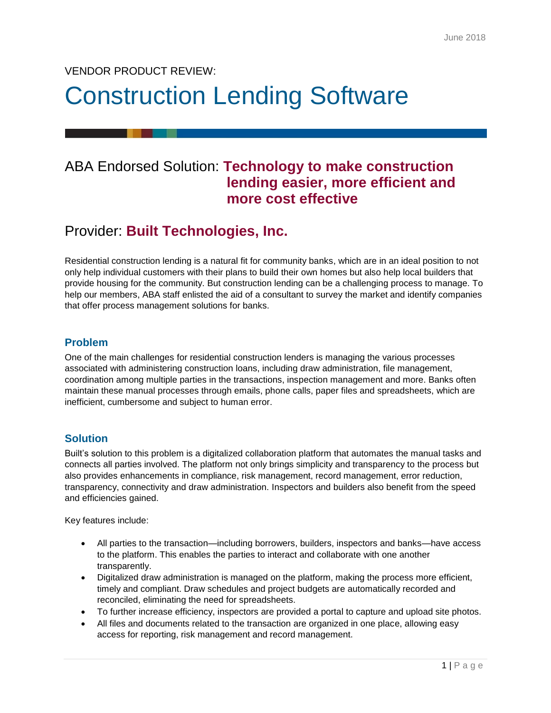## VENDOR PRODUCT REVIEW:

# Construction Lending Software

## ABA Endorsed Solution: **Technology to make construction lending easier, more efficient and more cost effective**

# Provider: **Built Technologies, Inc.**

Residential construction lending is a natural fit for community banks, which are in an ideal position to not only help individual customers with their plans to build their own homes but also help local builders that provide housing for the community. But construction lending can be a challenging process to manage. To help our members, ABA staff enlisted the aid of a consultant to survey the market and identify companies that offer process management solutions for banks.

#### **Problem**

One of the main challenges for residential construction lenders is managing the various processes associated with administering construction loans, including draw administration, file management, coordination among multiple parties in the transactions, inspection management and more. Banks often maintain these manual processes through emails, phone calls, paper files and spreadsheets, which are inefficient, cumbersome and subject to human error.

#### **Solution**

Built's solution to this problem is a digitalized collaboration platform that automates the manual tasks and connects all parties involved. The platform not only brings simplicity and transparency to the process but also provides enhancements in compliance, risk management, record management, error reduction, transparency, connectivity and draw administration. Inspectors and builders also benefit from the speed and efficiencies gained.

Key features include:

- All parties to the transaction—including borrowers, builders, inspectors and banks—have access to the platform. This enables the parties to interact and collaborate with one another transparently.
- Digitalized draw administration is managed on the platform, making the process more efficient, timely and compliant. Draw schedules and project budgets are automatically recorded and reconciled, eliminating the need for spreadsheets.
- To further increase efficiency, inspectors are provided a portal to capture and upload site photos.
- All files and documents related to the transaction are organized in one place, allowing easy access for reporting, risk management and record management.